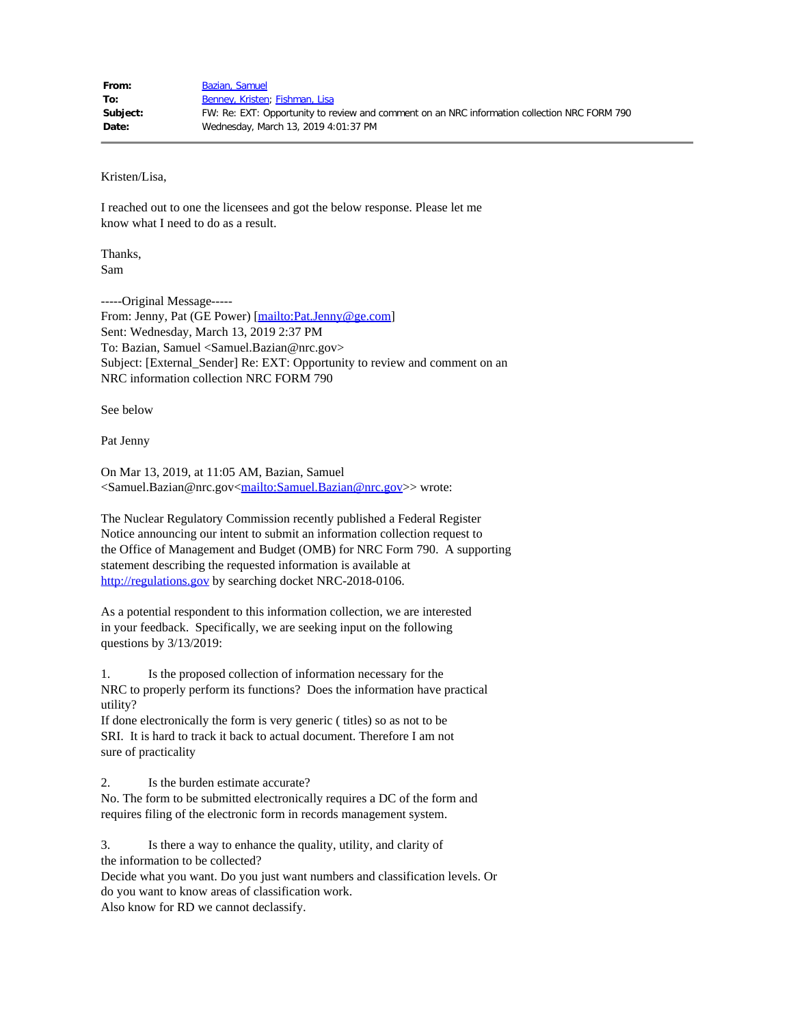Kristen/Lisa,

I reached out to one the licensees and got the below response. Please let me know what I need to do as a result.

Thanks, Sam

-----Original Message----- From: Jenny, Pat (GE Power) [\[mailto:Pat.Jenny@ge.com](mailto:Pat.Jenny@ge.com)] Sent: Wednesday, March 13, 2019 2:37 PM To: Bazian, Samuel <Samuel.Bazian@nrc.gov> Subject: [External\_Sender] Re: EXT: Opportunity to review and comment on an NRC information collection NRC FORM 790

See below

Pat Jenny

On Mar 13, 2019, at 11:05 AM, Bazian, Samuel <Samuel.Bazian@nrc.gov[<mailto:Samuel.Bazian@nrc.gov](mailto:Samuel.Bazian@nrc.gov)>> wrote:

The Nuclear Regulatory Commission recently published a Federal Register Notice announcing our intent to submit an information collection request to the Office of Management and Budget (OMB) for NRC Form 790. A supporting statement describing the requested information is available at [http://regulations.gov](http://regulations.gov/) by searching docket NRC-2018-0106.

As a potential respondent to this information collection, we are interested in your feedback. Specifically, we are seeking input on the following questions by 3/13/2019:

1. Is the proposed collection of information necessary for the NRC to properly perform its functions? Does the information have practical utility?

If done electronically the form is very generic ( titles) so as not to be SRI. It is hard to track it back to actual document. Therefore I am not sure of practicality

2. Is the burden estimate accurate?

No. The form to be submitted electronically requires a DC of the form and requires filing of the electronic form in records management system.

3. Is there a way to enhance the quality, utility, and clarity of the information to be collected?

Decide what you want. Do you just want numbers and classification levels. Or do you want to know areas of classification work.

Also know for RD we cannot declassify.